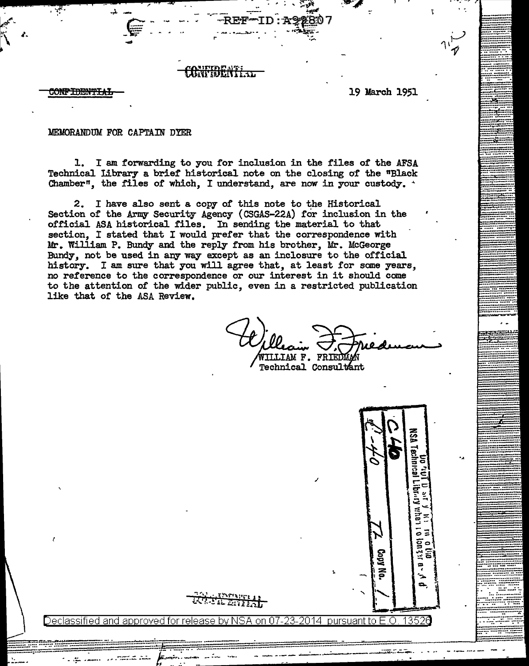**CONFIDENTIAL** 

<u>Declassified</u>

and

approved for release by NSA

on  $07$ 

19 March 1951

### MEMORANDUM FOR CAPTAIN DYER

1. I am forwarding to you for inclusion in the files of the AFSA Technical Library a brief historical note on the closing of the "Black Chamber", the files of which. I understand, are now in your custody. "

2. I have also sent a copy of this note to the Historical Section of the Army Security Agency (CSGAS-22A) for inclusion in the official ASA historical files. In sending the material to that section. I stated that I would prefer that the correspondence with Mr. William P. Bundy and the reply from his brother, Mr. McGeorge Bundy, not be used in any way except as an inclosure to the official history. I am sure that you will agree that, at least for some years, no reference to the correspondence or our interest in it should come to the attention of the wider public, even in a restricted publication like that of the ASA Review.

**TILLIAM F. FRIET** 

Laulk  $\ddot{\circ}$ Ξ

> lonzi ċ.

13526

Technical Consultant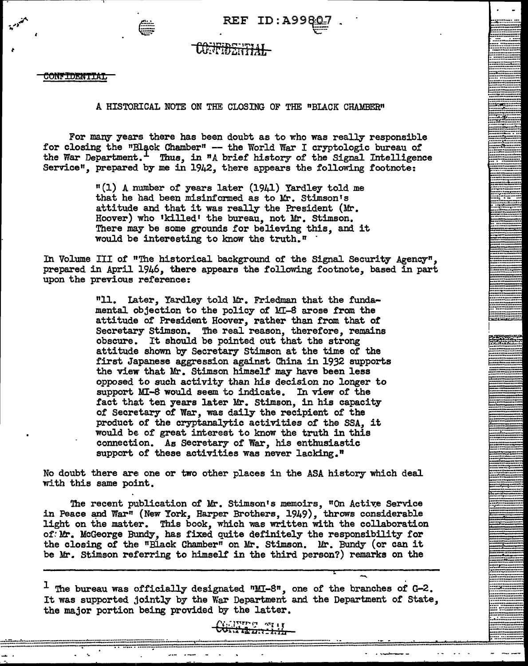

rtib<del>arith.</del>

REF ID: A99

*::.;::::::: ..* :::. ............................ ·············- ·············-· ............................. .......................... ••••n•••••••••• •••••H•••••-•• ................... ......................... ................. -- •••••H••·---- ':':'::::=::::~:::: :::.:::.· .. :::::::::·:: !f:~?..=f========;=~~¥:. ---~:.:-:.:.:::::..:.:::· ......................... ·····-········· • ~§§#~}..~:;§\_:§§:

········--···· ·········--·· ··--·-·---···· ........ \_\_\_ .... \_ .. ···-······-.. ::::::::;=== .... -............... . ---·---· :::;:::::::::=: ............ \_ ......... .. •••y•-••••••• ::::~::::::::;;: ......................... -.~:;:=.::;=:. ::::::::::::::::::<br>:::::::::::::::::: --·-······ .. ···

I

·:::::;::.--::::::: ··-···--·-·- ............... -..... ................. -.. ........................... ............... -...... ...................... ::•::::::::=:::.: ......................... -- 022114-00011111<br>-POULOGED 02014-031<br>-MAROCORD 02014-031<br>-MAROCORD 0214-022 ~;:.::;.::::::::

\*\*\*\*\*\*\*\*\*\*\*\*\*\*\*\*\*\*\*\*\*\*\*\*\*\*\*\*\*\*\*\*\*\* .. ................... .. ::::::.i:::::::.:::= .......................... - ...................... .......................... ....................... - ........................... ::.:·:·::-:.::::.:::::: <u>..... ............</u> ......................... ····-··--······ : .... :.:::::-:.::::::: ................... ......................... *:::.:..·::.:·:..·:::: .. :-.:* .............. ··········-··-"' -......

### **CONFIDENTIAL**

·.

### A HISTORICAL NOTE ON THE CLOSING OF THE "BLACK CHAMBER"

For many years there has been doubt as to who was really responsible for closing the "Black Chamber" -- the World War I cryptologic bureau of the War Department. Thus, in "A brief history of the Signal Intelligence Service", prepared by me in 1942, there appears the following footnote:

> $"(1)$  A number of years later (1941) Yardley told me that he had been misinformed as to Mr. Stimson's attitude and that it was really the President (Mr. Hoover) who 'killed' the bureau, not Mr. Stimson. There may be some grounds for believing this, and it would be interesting to know the truth. $\mathfrak{n}$

In Volume III of "The historical background of the Signal Security Agency". prepared in April 1946, there appears the following footnote, based in part upon the previous reference:

> "11. Later, Yardley told Mr. Friedman that the fundamental objection to the policy of MI-S arose from the attitude of President Hoover, rather than from that of Secretary Stimson. The real reason, therefore, remains obscure. It should be pointed out that the strong attitude shown by Secretary Stimson at the time of the first Japanese aggression against China in 1932 supports the view that Mr. Stimson himself may have been less opposed to such activity than his decision no longer to support MI-S would seem to indicate. In view of the fact that ten years later Mr. Stimson, in his capacity of Secretary of' War, was daily the recipient of the product of the cryptanalytic activities 0£ the SSA, it would be of great interest to know the truth in this connection. As Secretary of War, his enthusiastic support of these activities was never lacking."

No doubt there are one or two other places in the ASA history which deal with this same point.

The recent publication of Mr. Stimson's memoirs, "On Active Service in Peace and War" (New York, Harper Brothers, 1949), throws considerable light on the matter. This book, which was written with the collaboration of: Mr. McGeorge Bundy, has fixed quite definitely the responsibility for the closing of the "Black Chamber" on Mr. Stimson. Mr. Bundy (or can it be Mr. Stimson referring to himself in the third person?) remarks on the

 $<sup>1</sup>$  The bureau was officially designated "MI-8", one of the branches of G-2.</sup> It was supported jointly by the War Department and the Department of State, the major portion being provided by the latter.

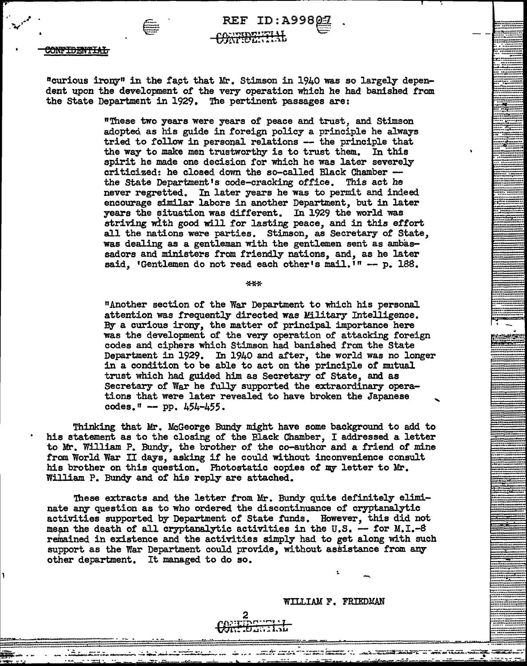

#### <del>ONFIDENTIAL</del>

"curious irony" in the fact that Mr. Stimson in 1940 was so largely dependent upon the development of the very operation which he had banished from the State Department in 1929. The pertinent passages are:

> "These two years were years of peace and trust, and Stimson adopted as his guide in foreign policy a principle he always tried to follow in personal relations -- the principle that the way to make men trustworthy is to trust them. In this spirit he made one decision for which he was later severely criticized: he closed down the so-called Black Chamber the State Department's code-cracking office. This act he never regretted. In later years he was to permit and indeed encourage similar labors in another Department, but in later years the situation was different. In 1929 the world was striving with good will for lasting peace, and in this effort all the nations were parties. Stimson, as Secretary of State, was dealing as a gentleman with the gentlemen sent as ambassadors and ministers from friendly nations, and, as he later said. 'Gentlemen do not read each other's mail. $ir - p$ . 188.

REF ID:A9980

 $- - \frac{1}{2}$ 

................ ... ·--······---- r.::::::::::::: .............. ................... \_\_\_\_ ---· \_ ............... --- ······-------· •H••••········- ::=:::=--=::::-..: ------·······-

........... ................. \_\_ -..... .. .... \_ .. ·.·::: .. -.. ": .. ":.."':=::: **7•w:·r=r-z**  . -

----------· ---·· ------------· -·--·-'"·----

عيعيد

"Another section of the War Department to which his personal attention was frequently directed was Military Intelligence. By a curious irony, the matter of principal importance here was the development of the very operation of attacking foreign codes and. ciphers which Stimson had banished from the State Department in 1929. In 1940 and after, the world was no longer in a condition to be able to act on the principle of mutual trust which had guided him as Secretary of State, and as Secretary of War he fully supported the extraordinary operations that were later revealed to have broken the Japanese codes." -- pp. 454-455.

Thinking that Mr. McGeorge Bundy might have some background to add to his statement as to the closing of the Black Chamber. I addressed a letter to Mr. William P. Bundy, the brother of the co-author and a friend of mine from World War II days, asking if he could without inconvenience consult his brother on this question. Photostatic copies of my letter to Mr. William P. Bundy and of his reply are attached.

These extracts and the letter from Mr. Bundy quite definitely eliminate any question as to who ordered the discontinuance of cryptanalytic activities supported by Department of State funds. However, this did not mean the death of all cryptanalytic activities in the U.S.  $-$  for M.I.-8 remained in existence and the activities simply had to get along with such support as the War Department could provide, without assistance from any other department. It managed to do so.

> $\overline{2}$ (An:Liberth)

s (1920), and the second contract of the second state of the second state of the second state of the second st<br>In the contract of the second state of the second state of the second state of the second state of the second

WILLIAM F. FRIEDMAN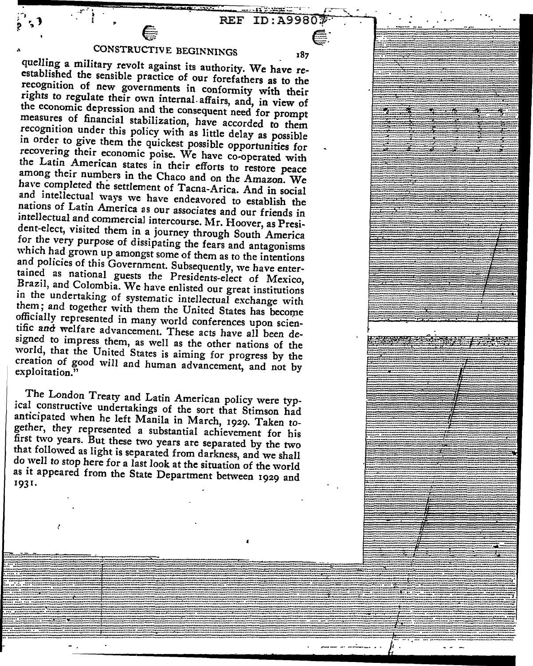## .. CONSTRUCTIVE BEGINNINGS

~

... y

 $\frac{1}{2}$   $\frac{1}{2}$   $\frac{3}{2}$ 

quelling a military revolt against its authority. We have reestablished the sensible practice of our forefathers as to the recognition of new governments in conformity with their rights to regulate their own internal. affairs, and, in view of the economic depression and the consequent need for prompt measures of financial stabilization, have accorded to them recognition under this policy with as little delay as possible in order to give them the quickest possible opportunities for recovering their economic poise. We have co-operated with the Latin American states *in* their efforts to restore peace among their numbers in the Chaco and on the Amazon. We have completed the settlement of Tacna-Arica. And in social and intellectual ways we have endeavored to establish the nations of Latin America as our associates and our friends in intellectual and commercial intercourse. Mr. Hoover, as President-elect, visited them in a journey through South America for the very purpose of dissipating the fears and antagonisms which had grown up amongst some of them as to the intentions and policies of this Government. Subsequently, we have entertained as national guests the Presidents-elect of Mexico, Brazil, and Colombia. We have enlisted our great institutions in the undertaking of systematic intellectual exchange with them; and together with them the United States has become officially represented in many world conferences upon scientific and welfare advancement. These acts have all been designed to impress them, as well as the other nations of the world, that the United States is aiming for progress by the creation of good will and human advancement, and not by exploitation."

The London Treaty and Latin American policy were typical constructive undertakings of the sort that Stimson had anticipated when he left Manila in March, 1929. Taken together, they represented a substantial achievement for his first two years. But these two years are separated by the two that followed as light is separated from darkness, and we shall do weII to stop here for a last *look* at the situation of the world as it appeared from the State Department between 1929 and 1931.

187

·\_:\_\_\_\_:\_~------------....... s.\_ ................... .......

~--

 $\alpha$  . In this company considers the company is a set of the first fact that  $\alpha$  is a set of the company of the company of the company of the company of the company of the company of the company of the company of the com

ID:A998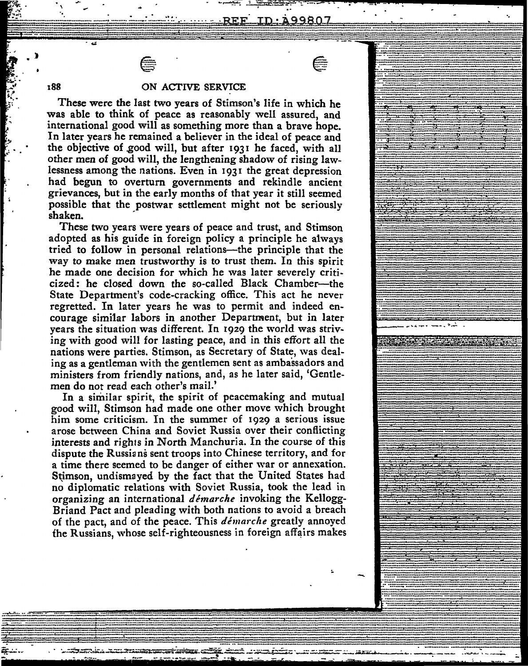**188** 

## ON ACTIVE SERVICE

These were the last two years of Stimson's life in which he was able to think of peace as reasonably well assured, and international good will as something more than a brave hope. In later years he remained a believer in the ideal of peace and the objective of good will, but after 1931 he faced, with all other men of good will, the lengthening shadow of rising lawlessness among the nations. Even in 1931 the great depression had begun to overturn governments and rekindle ancient grievances, but in the early months of that year it still seemed possible that the postwar settlement might not be seriously shaken.

These two years were years of peace and trust, and Stimson adopted as his guide in foreign policy a principle he always tried to follow in personal relations—the principle that the way to make men trustworthy is to trust them. In this spirit he made one decision for which he was later severely criticized: he closed down the so-called Black Chamber—the State Department's code-cracking office. This act he never regretted. In later years he was to permit and indeed encourage similar labors in another Department, but in later years the situation was different. In 1929 the world was striving with good will for lasting peace, and in this effort all the nations were parties. Stimson, as Secretary of State, was dealing as a gentleman with the gentlemen sent as ambassadors and ministers from friendly nations, and, as he later said, 'Gentlemen do not read each other's mail.'

In a similar spirit, the spirit of peacemaking and mutual good will, Stimson had made one other move which brought him some criticism. In the summer of 1929 a serious issue arose between China and Soviet Russia over their conflicting interests and rights in North Manchuria. In the course of this dispute the Russians sent troops into Chinese territory, and for a time there seemed to be danger of either war or annexation. Stimson, undismayed by the fact that the United States had no diplomatic relations with Soviet Russia, took the lead in organizing an international *démarche* invoking the Kellogg-Briand Pact and pleading with both nations to avoid a breach of the pact, and of the peace. This *démarche* greatly annoyed the Russians, whose self-righteousness in foreign affairs makes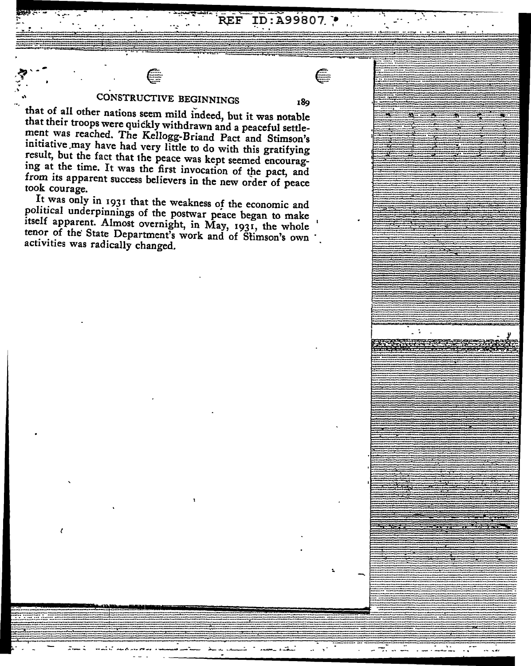ID:A99807 · REF

€

189

# CONSTRUCTIVE BEGINNINGS

that of all other nations seem mild indeed, but it was notable that their troops were quickly withdrawn and a peaceful settlement was reached. The Kellogg-Briand Pact and Stimson's initiative may have had very little to do with this gratifying result, but the fact that the peace was kept seemed encouraging at the time. It was the first invocation of the pact, and from its apparent success believers in the new order of peace took courage.

It was only in 1931 that the weakness of the economic and political underpinnings of the postwar peace began to make itself apparent. Almost overnight, in May, 1931, the whole tenor of the State Department's work and of Stimson's own activities was radically changed.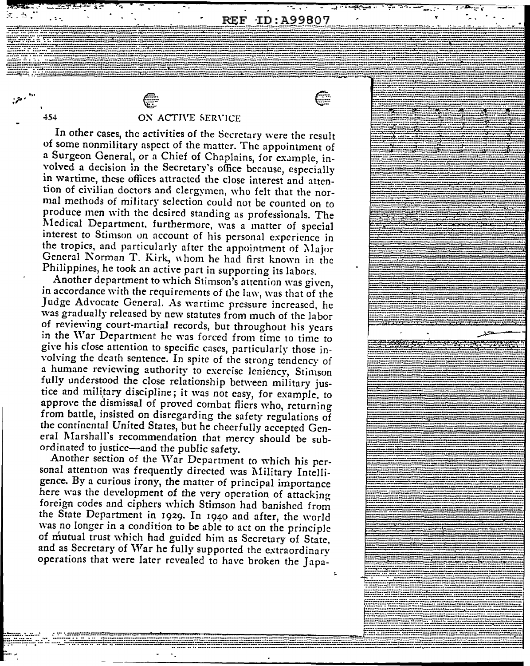**REF ID: A99807** 

454

## ON ACTIVE SERVICE

In other cases, the activities of the Secretary were the result of some nonmilitary aspect of the matter. The appointment of a Surgeon General, or a Chief of Chaplains, for example, involved a decision in the Secretary's office because, especially in wartime, these offices attracted the close interest and attention of civilian doctors and clergymen, who felt that the normal methods of military selection could not be counted on to produce men with the desired standing as professionals. The Medical Department, furthermore, was a matter of special interest to Stimson on account of his personal experience in the tropics, and particularly after the appointment of Major General Norman T. Kirk, whom he had first known in the Philippines, he took an active part in supporting its labors.

Another department to which Stimson's attention was given, in accordance with the requirements of the law, was that of the Judge Advocate General. As wartime pressure increased, he was gradually released by new statutes from much of the labor of reviewing court-martial records, but throughout his years in the War Department he was forced from time to time to give his close attention to specific cases, particularly those involving the death sentence. In spite of the strong tendency of a humane reviewing authority to exercise leniency, Stimson fully understood the close relationship between military justice and military discipline; it was not easy, for example, to approve the dismissal of proved combat fliers who, returning from battle, insisted on disregarding the safety regulations of the continental United States, but he cheerfully accepted General Marshall's recommendation that mercy should be subordinated to justice—and the public safety.

Another section of the War Department to which his personal attention was frequently directed was Military Intelligence. By a curious irony, the matter of principal importance here was the development of the very operation of attacking foreign codes and ciphers which Stimson had banished from the State Department in 1929. In 1940 and after, the world was no longer in a condition to be able to act on the principle of mutual trust which had guided him as Secretary of State. and as Secretary of War he fully supported the extraordinary operations that were later revealed to have broken the Japa-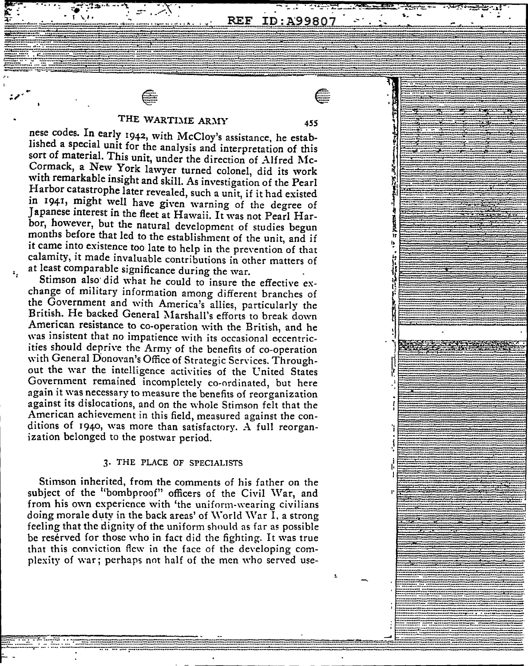

455

**REF ID: A99807** 

## nese codes. In early 1942, with McCloy's assistance, he established a special unit for the analysis and interpretation of this sort of material. This unit, under the direction of Alfred Mc-Cormack, a New York lawyer turned colonel, did its work with remarkable insight and skill. As investigation of the Pearl Harbor catastrophe later revealed, such a unit, if it had existed in 1941, might well have given warning of the degree of Japanese interest in the fleet at Hawaii. It was not Pearl Harbor, however, but the natural development of studies begun months before that led to the establishment of the unit, and if it came into existence too late to help in the prevention of that calamity, it made invaluable contributions in other matters of at least comparable significance during the war.

Stimson also did what he could to insure the effective exchange of military information among different branches of the Government and with America's allies, particularly the British. He backed General Marshall's efforts to break down American resistance to co-operation with the British, and he was insistent that no impatience with its occasional eccentricities should deprive the Army of the benefits of co-operation with General Donovan's Office of Strategic Services. Throughout the war the intelligence activities of the United States Government remained incompletely co-ordinated, but here again it was necessary to measure the benefits of reorganization against its dislocations, and on the whole Stimson felt that the American achievement in this field, measured against the conditions of 1940, was more than satisfactory. A full reorganization belonged to the postwar period.

## 3. THE PLACE OF SPECIALISTS

Stimson inherited, from the comments of his father on the subject of the "bombproof" officers of the Civil War, and from his own experience with 'the uniform-wearing civilians doing morale duty in the back areas' of World War I, a strong feeling that the dignity of the uniform should as far as possible be reserved for those who in fact did the fighting. It was true that this conviction flew in the face of the developing complexity of war; perhaps not half of the men who served use-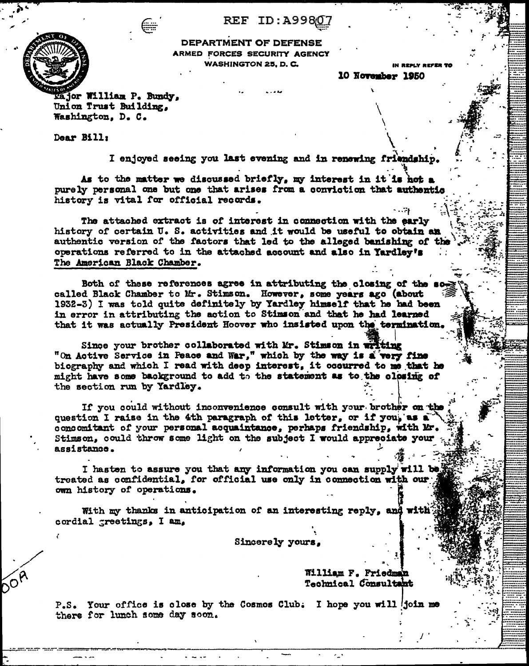REF ID:A9980

DEPARTMENT OF DEFENSE ARMED FORCES SECURITY AGENCY **WASHINGTON 25, D. C.** 

IN REPLY REFER TO 10 November 1950

 $\sim$  . We show

Mor William P. Bundy, Union Trust Building, Washington, D. C.

Dear Bill:

**60A** 

I enjoyed seeing you last evening and in renewing friendship.

As to the matter we discussed briefly, my interest in it is not a purely personal one but one that arises from a conviction that authentic history is vital for official records.

The attached extract is of interest in connection with the early history of certain U. S. activities and it would be useful to obtain an authentic version of the factors that led to the alleged banishing of the operations referred to in the attached account and also in Yardley's The American Black Chamber.

Both of these references agree in attributing the closing of the called Black Chamber to Mr. Stimson. However, some years ago (about 1932-3) I was told quite definitely by Yardley himself that he had been in error in attributing the action to Stimson and that he had learned that it was actually President Hoover who insisted upon the termination.

Since your brother collaborated with Mr. Stimson in writing "On Active Service in Peace and War," which by the way is a very fine biography and which I read with deep interest, it occurred to me that he might have some background to add to the statement as to the closing of the section run by Yardley.

If you could without inconvenience consult with your brother on the question I raise in the 4th paragraph of this letter, or if you, as a concomitant of your personal acquaintance, perhaps friendship, with Mr. Stimson, could throw some light on the subject I would appreciate your assistance.

I hasten to assure you that any information you can supply will be. treated as confidential, for official use only in connection with our own history of operations.

With my thanks in anticipation of an interesting reply, and with cordial greetings, I am.

Sincerely yours,

William F. Friedman Technical Consultant

P.S. Your office is close by the Cosmos Club. I hope you will join me there for lunch some day soon.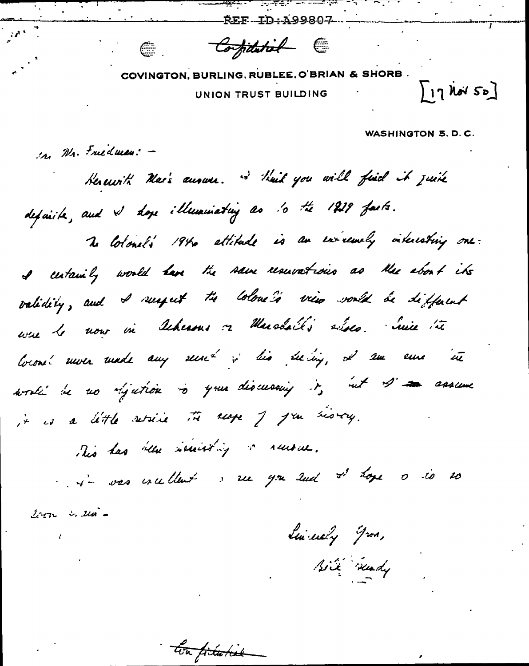REF-ID: A99807

<u>an - an</u> year in

Confidential @

COVINGTON, BURLING, RUBLEE, O'BRIAN & SHORB. UNION TRUST BUILDING

 $\lfloor 17 \text{ MeV} 50 \rfloor$ 

### WASHINGTON 5. D. C.

in Mr. Friedman: -

Herewith Mar's answer. with their you will find it just definite, and I dope illuminating as to the 1229 facts. Te Colonal's 1940 attitude is an ex-remely interesting one. I certainly world have the same reservations as the about its validity, and I suspect the Colonel's view world be different were to now in Icherons or Marshalt's shoes. Juice the locone une made any sent ; bis setting, of am sens in world be no rigution to your discussing it, but I am assume it is a little retaine the reage of you history.

This has been insureding or necessar.

i i vas creellent i ree que ted d'hope o és ro

 $2\pi n \approx \mu$ 

Simeraly Jun, Silk Hudy

ton fitation